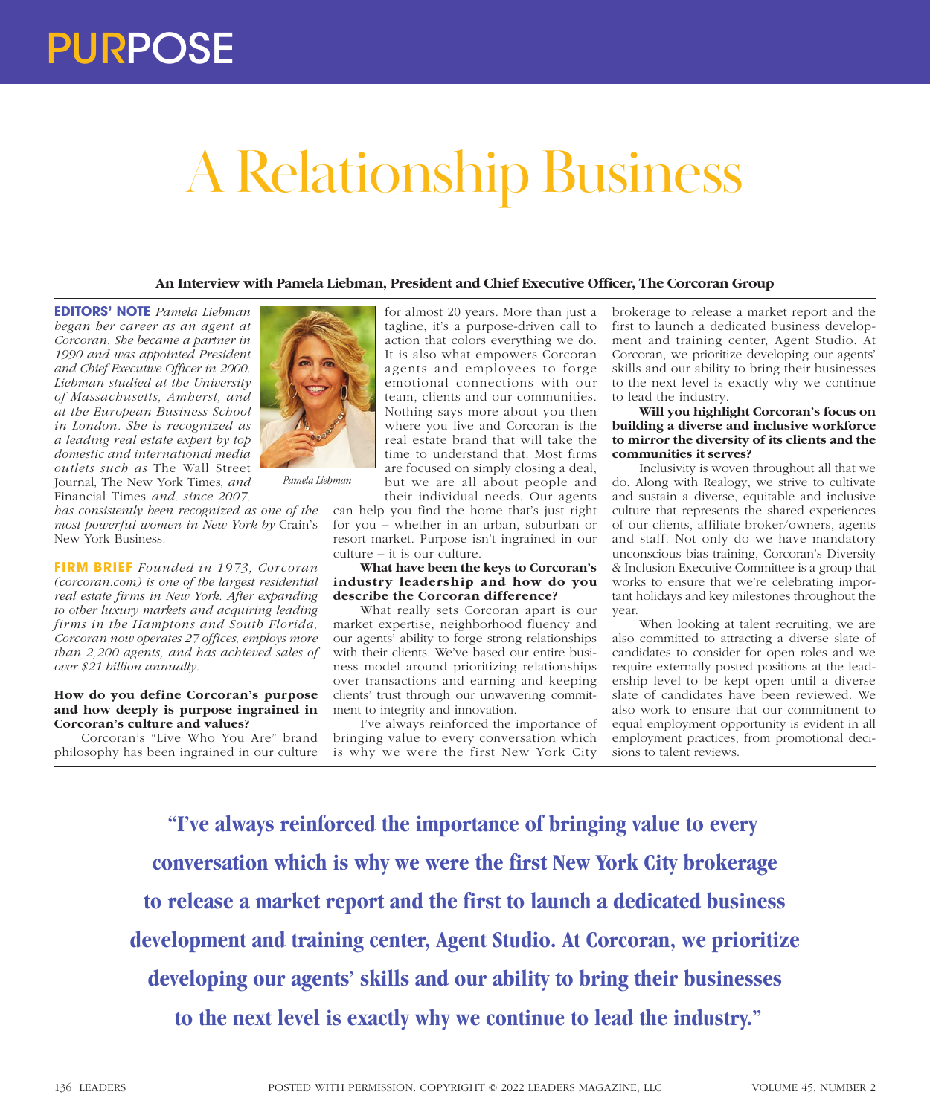# A Relationship Business

# **An Interview with Pamela Liebman, President and Chief Executive Officer, The Corcoran Group**

**EDITORS' NOTE** *Pamela Liebman began her career as an agent at Corcoran. She became a partner in 1990 and was appointed President and Chief Executive Officer in 2000. Liebman studied at the University of Massachusetts, Amherst, and at the European Business School in London. She is recognized as a leading real estate expert by top domestic and international media outlets such as* The Wall Street Journal*,* The New York Times*, and*  Financial Times *and, since 2007,* 



*Pamela Liebman*

*has consistently been recognized as one of the most powerful women in New York by* Crain's New York Business*.*

**FIRM BRIEF** *Founded in 1973, Corcoran (corcoran.com) is one of the largest residential real estate firms in New York. After expanding to other luxury markets and acquiring leading firms in the Hamptons and South Florida, Corcoran now operates 27 offices, employs more than 2,200 agents, and has achieved sales of over \$21 billion annually.*

#### **How do you define Corcoran's purpose and how deeply is purpose ingrained in Corcoran's culture and values?**

Corcoran's "Live Who You Are" brand philosophy has been ingrained in our culture

for almost 20 years. More than just a tagline, it's a purpose-driven call to action that colors everything we do. It is also what empowers Corcoran agents and employees to forge emotional connections with our team, clients and our communities. Nothing says more about you then where you live and Corcoran is the real estate brand that will take the time to understand that. Most firms are focused on simply closing a deal, but we are all about people and their individual needs. Our agents

can help you find the home that's just right for you – whether in an urban, suburban or resort market. Purpose isn't ingrained in our culture – it is our culture.

### **What have been the keys to Corcoran's industry leadership and how do you describe the Corcoran difference?**

What really sets Corcoran apart is our market expertise, neighborhood fluency and our agents' ability to forge strong relationships with their clients. We've based our entire business model around prioritizing relationships over transactions and earning and keeping clients' trust through our unwavering commitment to integrity and innovation.

I've always reinforced the importance of bringing value to every conversation which is why we were the first New York City

brokerage to release a market report and the first to launch a dedicated business development and training center, Agent Studio. At Corcoran, we prioritize developing our agents' skills and our ability to bring their businesses to the next level is exactly why we continue to lead the industry.

## **Will you highlight Corcoran's focus on building a diverse and inclusive workforce to mirror the diversity of its clients and the communities it serves?**

Inclusivity is woven throughout all that we do. Along with Realogy, we strive to cultivate and sustain a diverse, equitable and inclusive culture that represents the shared experiences of our clients, affiliate broker/owners, agents and staff. Not only do we have mandatory unconscious bias training, Corcoran's Diversity & Inclusion Executive Committee is a group that works to ensure that we're celebrating important holidays and key milestones throughout the year.

When looking at talent recruiting, we are also committed to attracting a diverse slate of candidates to consider for open roles and we require externally posted positions at the leadership level to be kept open until a diverse slate of candidates have been reviewed. We also work to ensure that our commitment to equal employment opportunity is evident in all employment practices, from promotional decisions to talent reviews.

**"I've always reinforced the importance of bringing value to every conversation which is why we were the first New York City brokerage to release a market report and the first to launch a dedicated business development and training center, Agent Studio. At Corcoran, we prioritize developing our agents' skills and our ability to bring their businesses to the next level is exactly why we continue to lead the industry."**